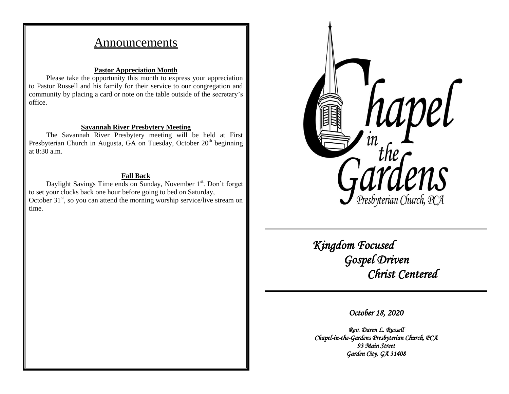# Announcements

## **Pastor Appreciation Month**

Please take the opportunity this month to express your appreciation to Pastor Russell and his family for their service to our congregation and community by placing a card or note on the table outside of the secretary's office.

## **Savannah River Presbytery Meeting**

The Savannah River Presbytery meeting will be held at First Presbyterian Church in Augusta, GA on Tuesday, October  $20<sup>th</sup>$  beginning at 8:30 a.m.

## **Fall Back**

Daylight Savings Time ends on Sunday, November 1<sup>st</sup>. Don't forget to set your clocks back one hour before going to bed on Saturday, October  $31<sup>st</sup>$ , so you can attend the morning worship service/live stream on time.



 *Kingdom Focused Gospel Driven Christ Centered* 

*October 18, 2020* 

*Rev. Daren L. Russell Chapel-in-the-Gardens Presbyterian Church, PCA 93 Main Street Garden City, GA 31408*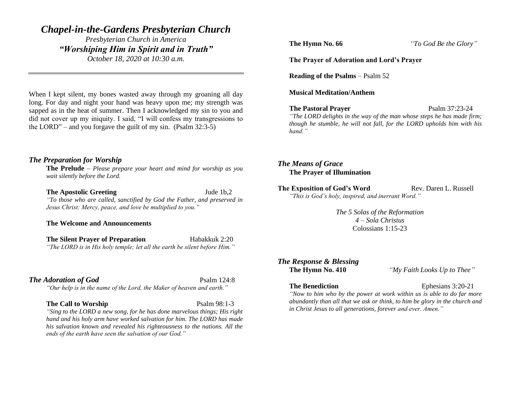# *Chapel-in-the-Gardens Presbyterian Church*

*Presbyterian Church in America "Worshiping Him in Spirit and in Truth" October 18, 2020 at 10:30 a.m.*

When I kept silent, my bones wasted away through my groaning all day long. For day and night your hand was heavy upon me; my strength was sapped as in the heat of summer. Then I acknowledged my sin to you and did not cover up my iniquity. I said, "I will confess my transgressions to the LORD" – and you forgave the guilt of my sin. (Psalm 32:3-5)

## *The Preparation for Worship*

**The Prelude** – *Please prepare your heart and mind for worship as you wait silently before the Lord.*

#### **The Apostolic Greeting Jude 1b,2**

*"To those who are called, sanctified by God the Father, and preserved in Jesus Christ: Mercy, peace, and love be multiplied to you."*

**The Welcome and Announcements**

**The Silent Prayer of Preparation** Habakkuk 2:20 *"The LORD is in His holy temple; let all the earth be silent before Him."*

### **The Adoration of God** Psalm 124:8

*"Our help is in the name of the Lord, the Maker of heaven and earth."*

#### **The Call to Worship** Psalm 98:1-3

*"Sing to the LORD a new song, for he has done marvelous things; His right hand and his holy arm have worked salvation for him. The LORD has made his salvation known and revealed his righteousness to the nations. All the ends of the earth have seen the salvation of our God."*

**The Hymn No. 66** *"To God Be the Glory"*

#### **The Prayer of Adoration and Lord's Prayer**

**Reading of the Psalms** – Psalm 52

**Musical Meditation/Anthem**

#### **The Pastoral Prayer** Psalm 37:23-24

*"The LORD delights in the way of the man whose steps he has made firm; though he stumble, he will not fall, for the LORD upholds him with his hand."*

# *The Means of Grace* **The Prayer of Illumination**

**The Exposition of God's Word Rev. Daren L. Russell** *"This is God's holy, inspired, and inerrant Word."*

> *The 5 Solas of the Reformation 4 – Sola Christus* Colossians 1:15-23

# *The Response & Blessing*

**The Hymn No. 410** *"My Faith Looks Up to Thee"*

#### **The Benediction** Ephesians 3:20-21

*"Now to him who by the power at work within us is able to do far more abundantly than all that we ask or think, to him be glory in the church and in Christ Jesus to all generations, forever and ever. Amen."*